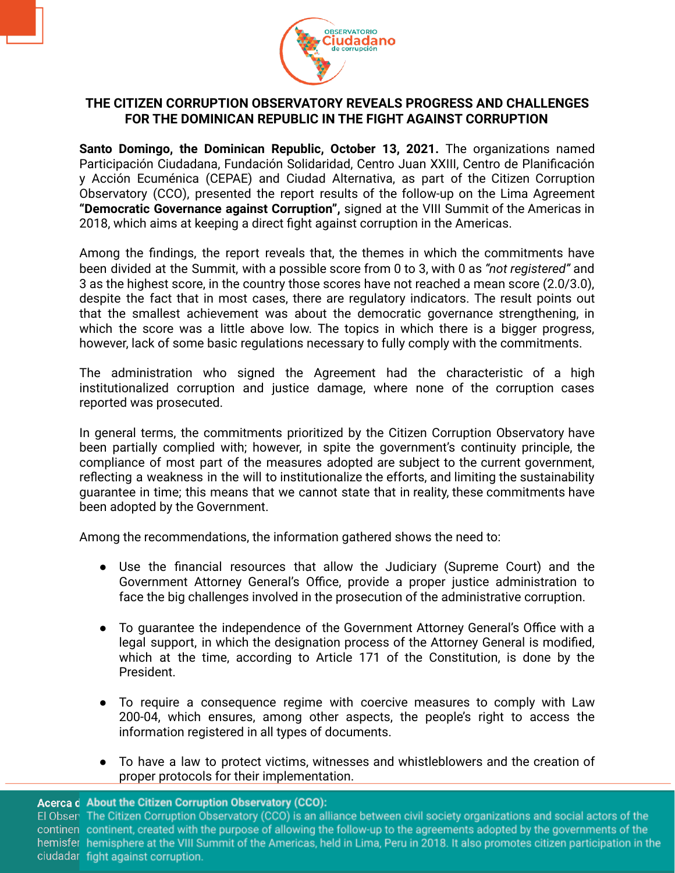

## **THE CITIZEN CORRUPTION OBSERVATORY REVEALS PROGRESS AND CHALLENGES FOR THE DOMINICAN REPUBLIC IN THE FIGHT AGAINST CORRUPTION**

**Santo Domingo, the Dominican Republic, October 13, 2021.** The organizations named Participación Ciudadana, Fundación Solidaridad, Centro Juan XXIII, Centro de Planificación y Acción Ecuménica (CEPAE) and Ciudad Alternativa, as part of the Citizen Corruption Observatory (CCO), presented the report results of the follow-up on the Lima Agreement **"Democratic Governance against Corruption",** signed at the VIII Summit of the Americas in 2018, which aims at keeping a direct fight against corruption in the Americas.

Among the findings, the report reveals that, the themes in which the commitments have been divided at the Summit, with a possible score from 0 to 3, with 0 as *"not registered"* and 3 as the highest score, in the country those scores have not reached a mean score (2.0/3.0), despite the fact that in most cases, there are regulatory indicators. The result points out that the smallest achievement was about the democratic governance strengthening, in which the score was a little above low. The topics in which there is a bigger progress, however, lack of some basic regulations necessary to fully comply with the commitments.

The administration who signed the Agreement had the characteristic of a high institutionalized corruption and justice damage, where none of the corruption cases reported was prosecuted.

In general terms, the commitments prioritized by the Citizen Corruption Observatory have been partially complied with; however, in spite the government's continuity principle, the compliance of most part of the measures adopted are subject to the current government, reflecting a weakness in the will to institutionalize the efforts, and limiting the sustainability guarantee in time; this means that we cannot state that in reality, these commitments have been adopted by the Government.

Among the recommendations, the information gathered shows the need to:

- Use the financial resources that allow the Judiciary (Supreme Court) and the Government Attorney General's Office, provide a proper justice administration to face the big challenges involved in the prosecution of the administrative corruption.
- To guarantee the independence of the Government Attorney General's Office with a legal support, in which the designation process of the Attorney General is modified, which at the time, according to Article 171 of the Constitution, is done by the President.
- To require a consequence regime with coercive measures to comply with Law 200-04, which ensures, among other aspects, the people's right to access the information registered in all types of documents.
- To have a law to protect victims, witnesses and whistleblowers and the creation of proper protocols for their implementation.

## Acerca d About the Citizen Corruption Observatory (CCO):

El Obser The Citizen Corruption Observatory (CCO) is an alliance between civil society organizations and social actors of the continen continent, created with the purpose of allowing the follow-up to the agreements adopted by the governments of the hemisfer hemisphere at the VIII Summit of the Americas, held in Lima, Peru in 2018. It also promotes citizen participation in the ciudadar fight against corruption.